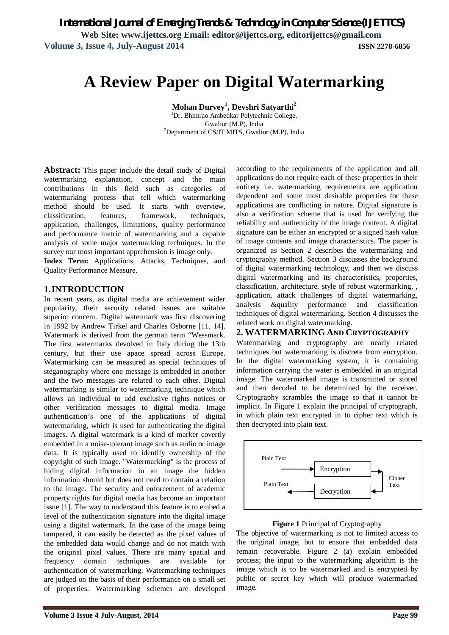# **A Review Paper on Digital Watermarking**

**Mohan Durvey<sup>1</sup> , Devshri Satyarthi<sup>2</sup>**

 ${}^{1}$ Dr. Bhimrao Ambedkar Polytechnic College, Gwalior (M.P), India  ${}^{2}$ Department of CS/IT MITS, Gwalior (M.P), India

**Abstract:** This paper include the detail study of Digital watermarking explanation, concept and the main contributions in this field such as categories of watermarking process that tell which watermarking method should be used. It starts with overview, classification, features, framework, techniques, application, challenges, limitations, quality performance and performance metric of watermarking and a capable analysis of some major watermarking techniques. In the survey our most important apprehension is image only.

**Index Term:** Applications, Attacks, Techniques, and Quality Performance Measure.

#### **1.INTRODUCTION**

In recent years, as digital media are achievement wider popularity, their security related issues are suitable superior concern. Digital watermark was first discovering in 1992 by Andrew Tirkel and Charles Osborne [11, 14]. Watermark is derived from the german term "Wessmark. The first watermarks devolved in Italy during the 13th century, but their use apace spread across Europe. Watermarking can be measured as special techniques of steganography where one message is embedded in another and the two messages are related to each other. Digital watermarking is similar to watermarking technique which allows an individual to add exclusive rights notices or other verification messages to digital media. Image authentication's one of the applications of digital watermarking, which is used for authenticating the digital images. A digital watermark is a kind of marker covertly embedded in a noise-tolerant image such as audio or image data. It is typically used to identify ownership of the copyright of such image. "Watermarking" is the process of hiding digital information in an image the hidden information should but does not need to contain a relation to the image. The security and enforcement of academic property rights for digital media has become an important issue [1]. The way to understand this feature is to embed a level of the authentication signature into the digital image using a digital watermark. In the case of the image being tampered, it can easily be detected as the pixel values of the embedded data would change and do not match with the original pixel values. There are many spatial and frequency domain techniques are available for authentication of watermarking. Watermarking techniques are judged on the basis of their performance on a small set of properties. Watermarking schemes are developed

according to the requirements of the application and all applications do not require each of these properties in their entirety i.e. watermarking requirements are application dependent and some most desirable properties for these applications are conflicting in nature. Digital signature is also a verification scheme that is used for verifying the reliability and authenticity of the image content. A digital signature can be either an encrypted or a signed hash value of image contents and image characteristics. The paper is organized as Section 2 describes the watermarking and cryptography method. Section 3 discusses the background of digital watermarking technology, and then we discuss digital watermarking and its characteristics, properties, classification, architecture, style of robust watermarking, , application, attack challenges of digital watermarking, analysis &quality performance and classification techniques of digital watermarking. Section 4 discusses the related work on digital watermarking.

#### **2. WATERMARKING AND CRYPTOGRAPHY**

Watermarking and cryptography are nearly related techniques but watermarking is discrete from encryption. In the digital watermarking system, it is containing information carrying the water is embedded in an original image. The watermarked image is transmitted or stored and then decoded to be determined by the receiver. Cryptography scrambles the image so that it cannot be implicit. In Figure 1 explain the principal of cryptograph, in which plain text encrypted in to cipher text which is then decrypted into plain text.



#### **Figure 1** Principal of Cryptography

The objective of watermarking is not to limited access to the original image, but to ensure that embedded data remain recoverable. Figure 2 (a) explain embedded process; the input to the watermarking algorithm is the image which is to be watermarked and is encrypted by public or secret key which will produce watermarked image.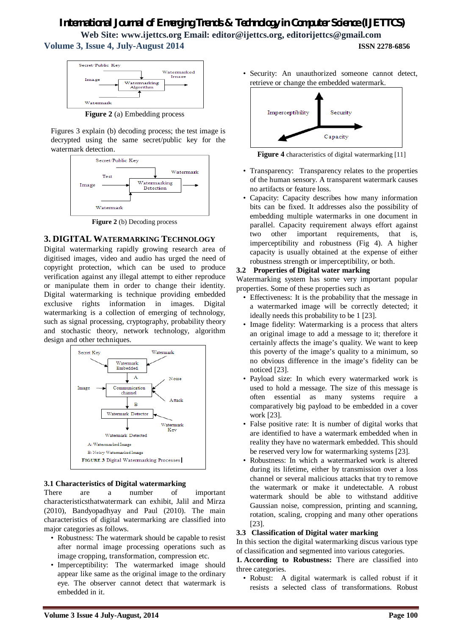

**Figure 2** (a) Embedding process

Figures 3 explain (b) decoding process; the test image is decrypted using the same secret/public key for the watermark detection.



**Figure 2** (b) Decoding process

#### **3. DIGITAL WATERMARKING TECHNOLOGY**

Digital watermarking rapidly growing research area of digitised images, video and audio has urged the need of copyright protection, which can be used to produce verification against any illegal attempt to either reproduce or manipulate them in order to change their identity. Digital watermarking is technique providing embedded exclusive rights information in images. Digital watermarking is a collection of emerging of technology, such as signal processing, cryptography, probability theory and stochastic theory, network technology, algorithm design and other techniques.



#### **3.1 Characteristics of Digital watermarking**

There are a number of important characteristicsthatwatermark can exhibit, Jalil and Mirza (2010), Bandyopadhyay and Paul (2010). The main characteristics of digital watermarking are classified into major categories as follows.

- Robustness: The watermark should be capable to resist after normal image processing operations such as image cropping, transformation, compression etc.
- Imperceptibility: The watermarked image should appear like same as the original image to the ordinary eye. The observer cannot detect that watermark is embedded in it.

• Security: An unauthorized someone cannot detect, retrieve or change the embedded watermark.



**Figure 4** characteristics of digital watermarking [11]

- Transparency: Transparency relates to the properties of the human sensory. A transparent watermark causes no artifacts or feature loss.
- Capacity: Capacity describes how many information bits can be fixed. It addresses also the possibility of embedding multiple watermarks in one document in parallel. Capacity requirement always effort against two other important requirements, that is, imperceptibility and robustness (Fig 4). A higher capacity is usually obtained at the expense of either robustness strength or imperceptibility, or both.

#### **3.2 Properties of Digital water marking**

Watermarking system has some very important popular properties. Some of these properties such as

- Effectiveness: It is the probability that the message in a watermarked image will be correctly detected; it ideally needs this probability to be 1 [23].
- Image fidelity: Watermarking is a process that alters an original image to add a message to it; therefore it certainly affects the image's quality. We want to keep this poverty of the image's quality to a minimum, so no obvious difference in the image's fidelity can be noticed [23].
- Payload size: In which every watermarked work is used to hold a message. The size of this message is often essential as many systems require a comparatively big payload to be embedded in a cover work [23].
- False positive rate: It is number of digital works that are identified to have a watermark embedded when in reality they have no watermark embedded. This should be reserved very low for watermarking systems [23].
- Robustness: In which a watermarked work is altered during its lifetime, either by transmission over a loss channel or several malicious attacks that try to remove the watermark or make it undetectable. A robust watermark should be able to withstand additive Gaussian noise, compression, printing and scanning, rotation, scaling, cropping and many other operations [23].

#### **3.3 Classification of Digital water marking**

In this section the digital watermarking discus various type of classification and segmented into various categories.

**1. According to Robustness:** There are classified into three categories.

• Robust: A digital watermark is called robust if it resists a selected class of transformations. Robust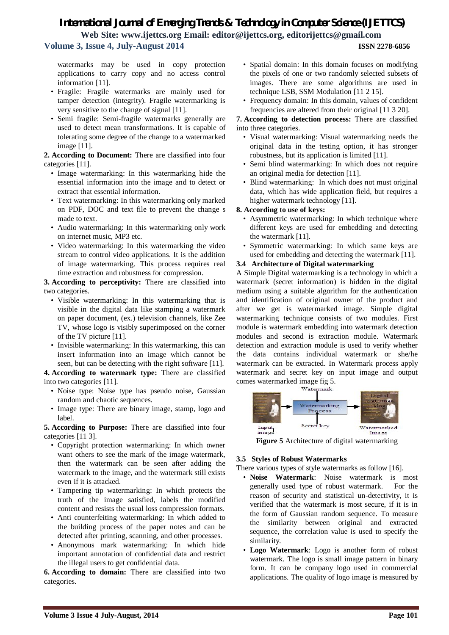watermarks may be used in copy protection applications to carry copy and no access control information [11].

- Fragile: Fragile watermarks are mainly used for tamper detection (integrity). Fragile watermarking is very sensitive to the change of signal [11].
- Semi fragile: Semi-fragile watermarks generally are used to detect mean transformations. It is capable of tolerating some degree of the change to a watermarked image [11].

**2. According to Document:** There are classified into four categories [11].

- Image watermarking: In this watermarking hide the essential information into the image and to detect or extract that essential information.
- Text watermarking: In this watermarking only marked on PDF, DOC and text file to prevent the change s made to text.
- Audio watermarking: In this watermarking only work on internet music, MP3 etc.
- Video watermarking: In this watermarking the video stream to control video applications. It is the addition of image watermarking. This process requires real time extraction and robustness for compression.

**3. According to perceptivity:** There are classified into two categories.

- Visible watermarking: In this watermarking that is visible in the digital data like stamping a watermark on paper document, (ex.) television channels, like Zee TV, whose logo is visibly superimposed on the corner of the TV picture [11].
- Invisible watermarking: In this watermarking, this can insert information into an image which cannot be seen, but can be detecting with the right software [11].

**4. According to watermark type:** There are classified into two categories [11].

- Noise type: Noise type has pseudo noise, Gaussian random and chaotic sequences.
- Image type: There are binary image, stamp, logo and label.

**5. According to Purpose:** There are classified into four categories [11 3].

- Copyright protection watermarking: In which owner want others to see the mark of the image watermark, then the watermark can be seen after adding the watermark to the image, and the watermark still exists even if it is attacked.
- Tampering tip watermarking: In which protects the truth of the image satisfied, labels the modified content and resists the usual loss compression formats.
- Anti counterfeiting watermarking: In which added to the building process of the paper notes and can be detected after printing, scanning, and other processes.
- Anonymous mark watermarking: In which hide important annotation of confidential data and restrict the illegal users to get confidential data.

**6. According to domain:** There are classified into two categories.

- Spatial domain: In this domain focuses on modifying the pixels of one or two randomly selected subsets of images. There are some algorithms are used in technique LSB, SSM Modulation [11 2 15].
- Frequency domain: In this domain, values of confident frequencies are altered from their original [11 3 20].

**7. According to detection process:** There are classified into three categories.

- Visual watermarking: Visual watermarking needs the original data in the testing option, it has stronger robustness, but its application is limited [11].
- Semi blind watermarking: In which does not require an original media for detection [11].
- Blind watermarking: In which does not must original data, which has wide application field, but requires a higher watermark technology [11].

#### **8. According to use of keys:**

- Asymmetric watermarking: In which technique where different keys are used for embedding and detecting the watermark [11].
- Symmetric watermarking: In which same keys are used for embedding and detecting the watermark [11].

#### **3.4 Architecture of Digital watermarking**

A Simple Digital watermarking is a technology in which a watermark (secret information) is hidden in the digital medium using a suitable algorithm for the authentication and identification of original owner of the product and after we get is watermarked image. Simple digital watermarking technique consists of two modules. First module is watermark embedding into watermark detection modules and second is extraction module. Watermark detection and extraction module is used to verify whether the data contains individual watermark or she/he watermark can be extracted. In Watermark process apply watermark and secret key on input image and output comes watermarked image fig 5.



**Figure 5** Architecture of digital watermarking

#### **3.5 Styles of Robust Watermarks**

There various types of style watermarks as follow [16].

- **Noise Watermark**: Noise watermark is most generally used type of robust watermark. For the reason of security and statistical un-detectivity, it is verified that the watermark is most secure, if it is in the form of Gaussian random sequence. To measure the similarity between original and extracted sequence, the correlation value is used to specify the similarity.
- **Logo Watermark**: Logo is another form of robust watermark. The logo is small image pattern in binary form. It can be company logo used in commercial applications. The quality of logo image is measured by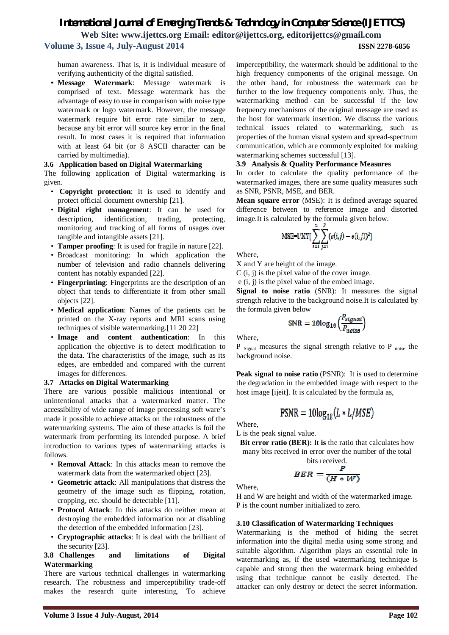human awareness. That is, it is individual measure of verifying authenticity of the digital satisfied.

**• Message Watermark**: Message watermark is comprised of text. Message watermark has the advantage of easy to use in comparison with noise type watermark or logo watermark. However, the message watermark require bit error rate similar to zero, because any bit error will source key error in the final result. In most cases it is required that information with at least 64 bit (or 8 ASCII character can be carried by multimedia).

#### **3.6 Application based on Digital Watermarking**

The following application of Digital watermarking is given.

- **Copyright protection**: It is used to identify and protect official document ownership [21].
- **Digital right management**: It can be used for description, identification, trading, protecting, monitoring and tracking of all forms of usages over tangible and intangible assets [21].
- **Tamper proofing**: It is used for fragile in nature [22].
- Broadcast monitoring: In which application the number of television and radio channels delivering content has notably expanded [22].
- **Fingerprinting**: Fingerprints are the description of an object that tends to differentiate it from other small objects [22].
- **Medical application**: Names of the patients can be printed on the X-ray reports and MRI scans using techniques of visible watermarking.[11 20 22]
- **Image and content authentication**: In this application the objective is to detect modification to the data. The characteristics of the image, such as its edges, are embedded and compared with the current images for differences.

#### **3.7 Attacks on Digital Watermarking**

There are various possible malicious intentional or unintentional attacks that a watermarked matter. The accessibility of wide range of image processing soft ware's made it possible to achieve attacks on the robustness of the watermarking systems. The aim of these attacks is foil the watermark from performing its intended purpose. A brief introduction to various types of watermarking attacks is follows.

- **Removal Attack**: In this attacks mean to remove the watermark data from the watermarked object [23].
- **Geometric attack**: All manipulations that distress the geometry of the image such as flipping, rotation, cropping, etc. should be detectable [11].
- **Protocol Attack**: In this attacks do neither mean at destroying the embedded information nor at disabling the detection of the embedded information [23].
- **Cryptographic attacks**: It is deal with the brilliant of the security [23].

#### **3.8 Challenges and limitations of Digital Watermarking**

There are various technical challenges in watermarking research. The robustness and imperceptibility trade-off makes the research quite interesting. To achieve

imperceptibility, the watermark should be additional to the high frequency components of the original message. On the other hand, for robustness the watermark can be further to the low frequency components only. Thus, the watermarking method can be successful if the low frequency mechanisms of the original message are used as the host for watermark insertion. We discuss the various technical issues related to watermarking, such as properties of the human visual system and spread-spectrum communication, which are commonly exploited for making watermarking schemes successful [13].

#### **3.9 Analysis & Quality Performance Measures**

In order to calculate the quality performance of the watermarked images, there are some quality measures such as SNR, PSNR, MSE, and BER.

**Mean square error** (MSE): It is defined average squared difference between to reference image and distorted image.It is calculated by the formula given below.

$$
\text{MSE}=1/\text{XY}[\sum_{i=1}^{n}\sum_{j=1}^{J}(c(i,j)-e(i,j))^2]
$$

Where,

X and Y are height of the image.

C (i, j) is the pixel value of the cover image.

e (i, j) is the pixel value of the embed image.

**Signal to noise ratio** (SNR): It measures the signal strength relative to the background noise.It is calculated by the formula given below

$$
\text{SNR} = 10\text{log}_{10}\Big(\frac{P_{signal}}{P_{nodes}}\Big)
$$

Where,

P  $_{Signal}$  measures the signal strength relative to P  $_{noise}$  the background noise.

**Peak signal to noise ratio** (PSNR): It is used to determine the degradation in the embedded image with respect to the host image [ijeit]. It is calculated by the formula as,

$$
PSNR = 10\log_{10}(L * L/MSE)
$$

Where,

L is the peak signal value.

**Bit error ratio (BER):** It **is** the ratio that calculates how many bits received in error over the number of the total

bits received.  

$$
BER = \frac{P}{(H * W)}
$$

Where,

H and W are height and width of the watermarked image. P is the count number initialized to zero.

#### **3.10 Classification of Watermarking Techniques**

Watermarking is the method of hiding the secret information into the digital media using some strong and suitable algorithm. Algorithm plays an essential role in watermarking as, if the used watermarking technique is capable and strong then the watermark being embedded using that technique cannot be easily detected. The attacker can only destroy or detect the secret information.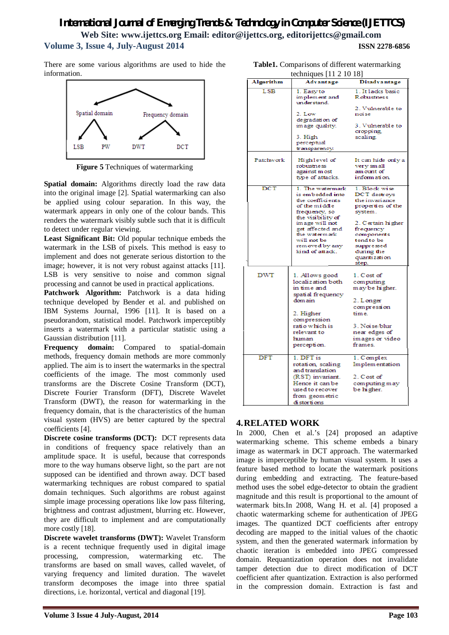There are some various algorithms are used to hide the information.



**Figure 5** Techniques of watermarking

**Spatial domain:** Algorithms directly load the raw data into the original image [2]. Spatial watermarking can also be applied using colour separation. In this way, the watermark appears in only one of the colour bands. This renders the watermark visibly subtle such that it is difficult to detect under regular viewing.

**Least Significant Bit:** Old popular technique embeds the watermark in the LSB of pixels. This method is easy to implement and does not generate serious distortion to the image; however, it is not very robust against attacks [11]. LSB is very sensitive to noise and common signal processing and cannot be used in practical applications.

Patchwork Algorithm: Patchwork is a data hiding technique developed by Bender et al. and published on IBM Systems Journal, 1996 [11]. It is based on a pseudorandom, statistical model. Patchwork imperceptibly inserts a watermark with a particular statistic using a Gaussian distribution [11].

**Frequency domain:** Compared to spatial-domain methods, frequency domain methods are more commonly applied. The aim is to insert the watermarks in the spectral coefficients of the image. The most commonly used transforms are the Discrete Cosine Transform (DCT), Discrete Fourier Transform (DFT), Discrete Wavelet Transform (DWT), the reason for watermarking in the frequency domain, that is the characteristics of the human visual system (HVS) are better captured by the spectral coefficients [4].

**Discrete cosine transforms (DCT):** DCT represents data in conditions of frequency space relatively than an amplitude space. It is useful, because that corresponds more to the way humans observe light, so the part are not supposed can be identified and thrown away. DCT based watermarking techniques are robust compared to spatial domain techniques. Such algorithms are robust against simple image processing operations like low pass filtering, brightness and contrast adjustment, blurring etc. However, they are difficult to implement and are computationally more costly [18].

**Discrete wavelet transforms (DWT):** Wavelet Transform is a recent technique frequently used in digital image processing, compression, watermarking etc. The transforms are based on small waves, called wavelet, of varying frequency and limited duration. The wavelet transform decomposes the image into three spatial directions, i.e. horizontal, vertical and diagonal [19].

| techniques $[11 2 10 18]$ |                                                                                                                                                                                                                            |                                                                                                                                                                                                    |
|---------------------------|----------------------------------------------------------------------------------------------------------------------------------------------------------------------------------------------------------------------------|----------------------------------------------------------------------------------------------------------------------------------------------------------------------------------------------------|
| Algorithm                 | Advantage                                                                                                                                                                                                                  | Disadvantage                                                                                                                                                                                       |
| LSB                       | 1. Easy to<br>implement and<br>under stand.<br>2. Low<br>degradation of<br>image quality.<br>3. High<br>perceptual<br>transparency.                                                                                        | 1. It lacks basic<br>Robustness<br>2. Vulnerable to<br>noi se<br>3. Vulnerable to<br>cropping,<br>scaling.                                                                                         |
| Patchwork                 | Highlevel of<br>robustness<br>against most<br>type of attacks.                                                                                                                                                             | It can hide only a<br>very small<br>am ount of<br>information.                                                                                                                                     |
| $_{\rm DCT}$              | 1. The watermark<br>is embedded into<br>the coefficients<br>of the middle<br>frequency, so<br>the visibility of<br>image will not<br>get affected and<br>the watermark<br>will not be<br>removed by any<br>kind of attack. | 1. Block wise<br>DCT destroys<br>the invariance<br>properties of the<br>system.<br>2. Certain higher<br>frequency<br>components<br>tend to be<br>suppressed<br>during the<br>quantization<br>step. |
| DWT                       | 1. Allows good<br>localization both<br>in time and<br>spatial frequency<br>dom ain<br>2. Higher<br>compression<br>ratio which is<br>relevant to<br>human<br>perception.                                                    | 1. Cost of<br>computing<br>may be higher.<br>2. Longer<br>compression<br>time.<br>3. Noi se/blur<br>near edges of<br>images or video<br>frames.                                                    |
| <b>DFT</b>                | 1. DFT is<br>rotation, scaling<br>and translation<br>(RST) invariant.<br>Hence it can be<br>used to recover<br>from geometric<br>di storti ons                                                                             | 1. Complex<br>Implementation<br>2. Cost of<br>computing may<br>be higher.                                                                                                                          |

**Table1.** Comparisons of different watermarking

# **4.RELATED WORK**

In 2000, Chen et al.'s [24] proposed an adaptive watermarking scheme. This scheme embeds a binary image as watermark in DCT approach. The watermarked image is imperceptible by human visual system. It uses a feature based method to locate the watermark positions during embedding and extracting. The feature-based method uses the sobel edge-detector to obtain the gradient magnitude and this result is proportional to the amount of watermark bits.In 2008, Wang H. et al. [4] proposed a chaotic watermarking scheme for authentication of JPEG images. The quantized DCT coefficients after entropy decoding are mapped to the initial values of the chaotic system, and then the generated watermark information by chaotic iteration is embedded into JPEG compressed domain. Requantization operation does not invalidate tamper detection due to direct modification of DCT coefficient after quantization. Extraction is also performed in the compression domain. Extraction is fast and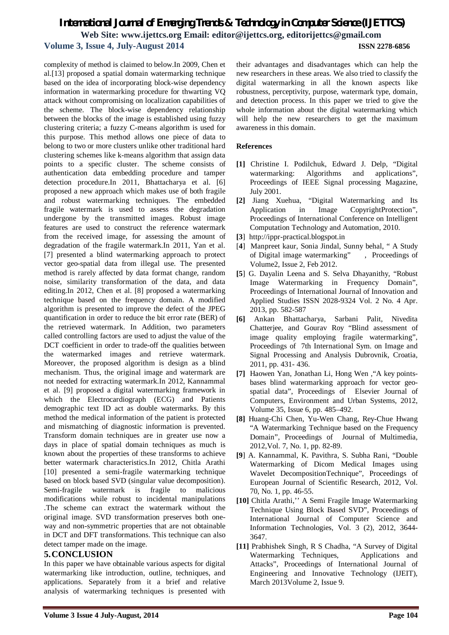complexity of method is claimed to below.In 2009, Chen et al.[13] proposed a spatial domain watermarking technique based on the idea of incorporating block-wise dependency information in watermarking procedure for thwarting VQ attack without compromising on localization capabilities of the scheme. The block-wise dependency relationship between the blocks of the image is established using fuzzy clustering criteria; a fuzzy C-means algorithm is used for this purpose. This method allows one piece of data to belong to two or more clusters unlike other traditional hard clustering schemes like k-means algorithm that assign data points to a specific cluster. The scheme consists of authentication data embedding procedure and tamper detection procedure.In 2011, Bhattacharya et al. [6] proposed a new approach which makes use of both fragile and robust watermarking techniques. The embedded fragile watermark is used to assess the degradation undergone by the transmitted images. Robust image features are used to construct the reference watermark from the received image, for assessing the amount of degradation of the fragile watermark.In 2011, Yan et al. [7] presented a blind watermarking approach to protect vector geo-spatial data from illegal use. The presented method is rarely affected by data format change, random noise, similarity transformation of the data, and data editing.In 2012, Chen et al. [8] proposed a watermarking technique based on the frequency domain. A modified algorithm is presented to improve the defect of the JPEG quantification in order to reduce the bit error rate (BER) of the retrieved watermark. In Addition, two parameters called controlling factors are used to adjust the value of the DCT coefficient in order to trade-off the qualities between the watermarked images and retrieve watermark. Moreover, the proposed algorithm is design as a blind mechanism. Thus, the original image and watermark are not needed for extracting watermark.In 2012, Kannammal et al. [9] proposed a digital watermarking framework in which the Electrocardiograph (ECG) and Patients demographic text ID act as double watermarks. By this method the medical information of the patient is protected and mismatching of diagnostic information is prevented. Transform domain techniques are in greater use now a days in place of spatial domain techniques as much is known about the properties of these transforms to achieve better watermark characteristics.In 2012, Chitla Arathi [10] presented a semi-fragile watermarking technique based on block based SVD (singular value decomposition). Semi-fragile watermark is fragile to malicious modifications while robust to incidental manipulations .The scheme can extract the watermark without the original image. SVD transformation preserves both oneway and non-symmetric properties that are not obtainable in DCT and DFT transformations. This technique can also detect tamper made on the image.

#### **5.CONCLUSION**

In this paper we have obtainable various aspects for digital watermarking like introduction, outline, techniques, and applications. Separately from it a brief and relative analysis of watermarking techniques is presented with

their advantages and disadvantages which can help the new researchers in these areas. We also tried to classify the digital watermarking in all the known aspects like robustness, perceptivity, purpose, watermark type, domain, and detection process. In this paper we tried to give the whole information about the digital watermarking which will help the new researchers to get the maximum awareness in this domain.

#### **References**

- **[1]** Christine I. Podilchuk, Edward J. Delp, "Digital watermarking: Algorithms and applications", Proceedings of IEEE Signal processing Magazine, July 2001.
- **[2]** Jiang Xuehua, "Digital Watermarking and Its Application in Image CopyrightProtection", Proceedings of International Conference on Intelligent Computation Technology and Automation, 2010.
- **[3**] http://ippr-practical.blogspot.in
- [**4**] Manpreet kaur, Sonia Jindal, Sunny behal, " A Study of Digital image watermarking" , Proceedings of Volume2, Issue 2, Feb 2012.
- **[5**] G. Dayalin Leena and S. Selva Dhayanithy, "Robust Image Watermarking in Frequency Domain", Proceedings of International Journal of Innovation and Applied Studies ISSN 2028-9324 Vol. 2 No. 4 Apr. 2013, pp. 582-587
- **[6]** Ankan Bhattacharya, Sarbani Palit, Nivedita Chatterjee, and Gourav Roy "Blind assessment of image quality employing fragile watermarking", Proceedings of 7th International Sym. on Image and Signal Processing and Analysis Dubrovnik, Croatia, 2011, pp. 431- 436.
- **[7]** Haowen Yan, Jonathan Li, Hong Wen ,"A key pointsbases blind watermarking approach for vector geospatial data", Proceedings of Elsevier Journal of Computers, Environment and Urban Systems, 2012, Volume 35, Issue 6, pp. 485–492.
- **[8]** Huang-Chi Chen, Yu-Wen Chang, Rey-Chue Hwang "A Watermarking Technique based on the Frequency Domain", Proceedings of Journal of Multimedia, 2012,Vol. 7, No. 1, pp. 82-89.
- **[9**] A. Kannammal, K. Pavithra, S. Subha Rani, "Double Watermarking of Dicom Medical Images using Wavelet DecompositionTechnique", Proceedings of European Journal of Scientific Research, 2012, Vol. 70, No. 1, pp. 46-55.
- **[10]** Chitla Arathi,'' A Semi Fragile Image Watermarking Technique Using Block Based SVD", Proceedings of International Journal of Computer Science and Information Technologies, Vol. 3 (2), 2012, 3644- 3647.
- **[11]** Prabhishek Singh, R S Chadha, "A Survey of Digital Watermarking Techniques, Applications and Attacks", Proceedings of International Journal of Engineering and Innovative Technology (IJEIT), March 2013Volume 2, Issue 9.